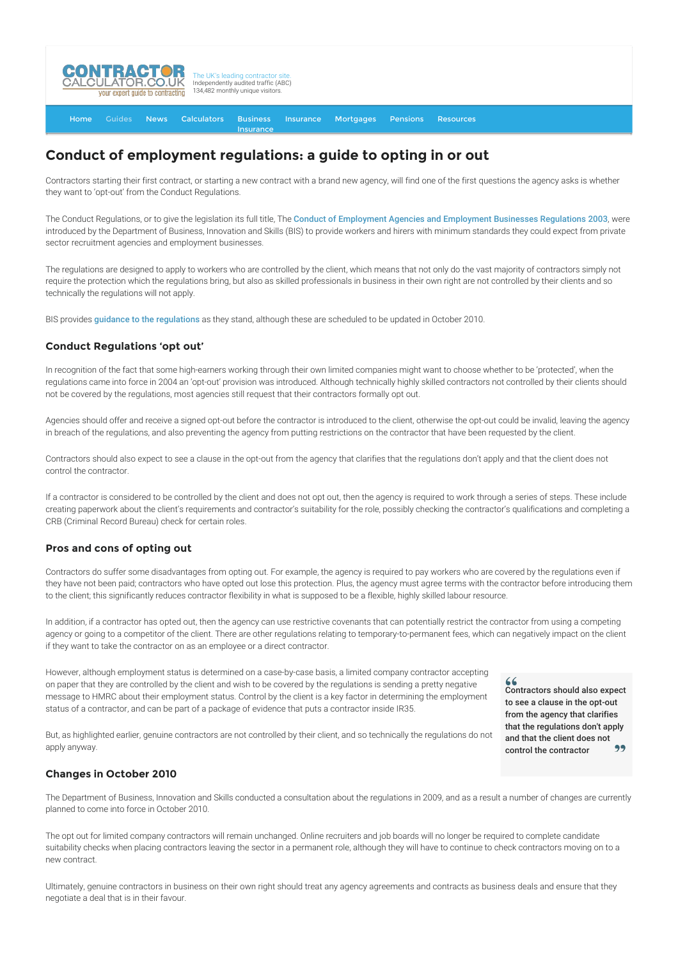

#### [Home](http://www.contractorcalculator.co.uk/) [Guides](http://www.contractorcalculator.co.uk/Articles.aspx) [News](http://www.contractorcalculator.co.uk/Contractor_News.aspx) [Calculators](http://www.contractorcalculator.co.uk/Calculators.aspx) Business [Insurance](http://www.contractorcalculator.co.uk/Contractor_Insurances.aspx) [Insurance](http://www.contractorcalculator.co.uk/Insurance.aspx) [Mortgages](http://www.contractorcalculator.co.uk/Contractor_Mortgages.aspx) [Pensions](http://www.contractorcalculator.co.uk/Contractor_Pensions.aspx) [Resources](http://www.contractorcalculator.co.uk/Contractor_Resources.aspx)

# **Conduct of employment regulations: a guide to opting in or out**

Contractors starting their first contract, or starting a new contract with a brand new agency, will find one of the first questions the agency asks is whether they want to 'opt-out' from the Conduct Regulations.

The Conduct Regulations, or to give the legislation its full title, The [Conduct of Employment Agencies and Employment Businesses Regulations 2003](http://www.legislation.gov.uk/uksi/2003/3319/contents/made), were introduced by the Department of Business, Innovation and Skills (BIS) to provide workers and hirers with minimum standards they could expect from private sector recruitment agencies and employment businesses.

The regulations are designed to apply to workers who are controlled by the client, which means that not only do the vast majority of contractors simply not require the protection which the regulations bring, but also as skilled professionals in business in their own right are not controlled by their clients and so technically the regulations will not apply.

BIS provides [guidance to the regulations](http://webarchive.nationalarchives.gov.uk/20121212135622/http://www.bis.gov.uk/files/file24248.pdf) as they stand, although these are scheduled to be updated in October 2010.

#### **Conduct Regulations 'opt out'**

In recognition of the fact that some high-earners working through their own limited companies might want to choose whether to be 'protected', when the regulations came into force in 2004 an 'opt-out' provision was introduced. Although technically highly skilled contractors not controlled by their clients should not be covered by the regulations, most agencies still request that their contractors formally opt out.

Agencies should offer and receive a signed opt-out before the contractor is introduced to the client, otherwise the opt-out could be invalid, leaving the agency in breach of the regulations, and also preventing the agency from putting restrictions on the contractor that have been requested by the client.

Contractors should also expect to see a clause in the opt-out from the agency that clarifies that the regulations don't apply and that the client does not control the contractor.

If a contractor is considered to be controlled by the client and does not opt out, then the agency is required to work through a series of steps. These include creating paperwork about the client's requirements and contractor's suitability for the role, possibly checking the contractor's qualifications and completing a CRB (Criminal Record Bureau) check for certain roles.

## **Pros and cons of opting out**

Contractors do suffer some disadvantages from opting out. For example, the agency is required to pay workers who are covered by the regulations even if they have not been paid; contractors who have opted out lose this protection. Plus, the agency must agree terms with the contractor before introducing them to the client; this significantly reduces contractor flexibility in what is supposed to be a flexible, highly skilled labour resource.

In addition, if a contractor has opted out, then the agency can use restrictive covenants that can potentially restrict the contractor from using a competing agency or going to a competitor of the client. There are other regulations relating to temporary-to-permanent fees, which can negatively impact on the client if they want to take the contractor on as an employee or a direct contractor.

However, although employment status is determined on a case-by-case basis, a limited company contractor accepting on paper that they are controlled by the client and wish to be covered by the regulations is sending a pretty negative message to HMRC about their employment status. Control by the client is a key factor in determining the employment status of a contractor, and can be part of a package of evidence that puts a contractor inside IR35.

 $66$ 

Contractors should also expect to see a clause in the opt-out from the agency that clarifies that the regulations don't apply and that the client does not control the contractor

But, as highlighted earlier, genuine contractors are not controlled by their client, and so technically the regulations do not apply anyway.

### **Changes in October 2010**

The Department of Business, Innovation and Skills conducted a consultation about the regulations in 2009, and as a result a number of changes are currently planned to come into force in October 2010.

The opt out for limited company contractors will remain unchanged. Online recruiters and job boards will no longer be required to complete candidate suitability checks when placing contractors leaving the sector in a permanent role, although they will have to continue to check contractors moving on to a new contract.

Ultimately, genuine contractors in business on their own right should treat any agency agreements and contracts as business deals and ensure that they negotiate a deal that is in their favour.